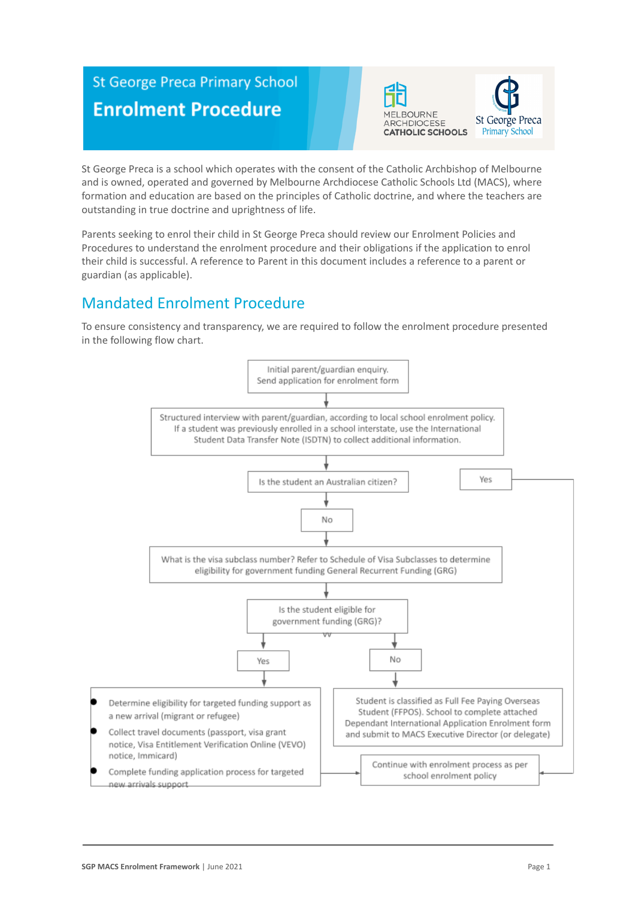# **St George Preca Primary School Enrolment Procedure**





St George Preca is a school which operates with the consent of the Catholic Archbishop of Melbourne and is owned, operated and governed by Melbourne Archdiocese Catholic Schools Ltd (MACS), where formation and education are based on the principles of Catholic doctrine, and where the teachers are outstanding in true doctrine and uprightness of life.

Parents seeking to enrol their child in St George Preca should review our Enrolment Policies and Procedures to understand the enrolment procedure and their obligations if the application to enrol their child is successful. A reference to Parent in this document includes a reference to a parent or guardian (as applicable).

## Mandated Enrolment Procedure

To ensure consistency and transparency, we are required to follow the enrolment procedure presented in the following flow chart.

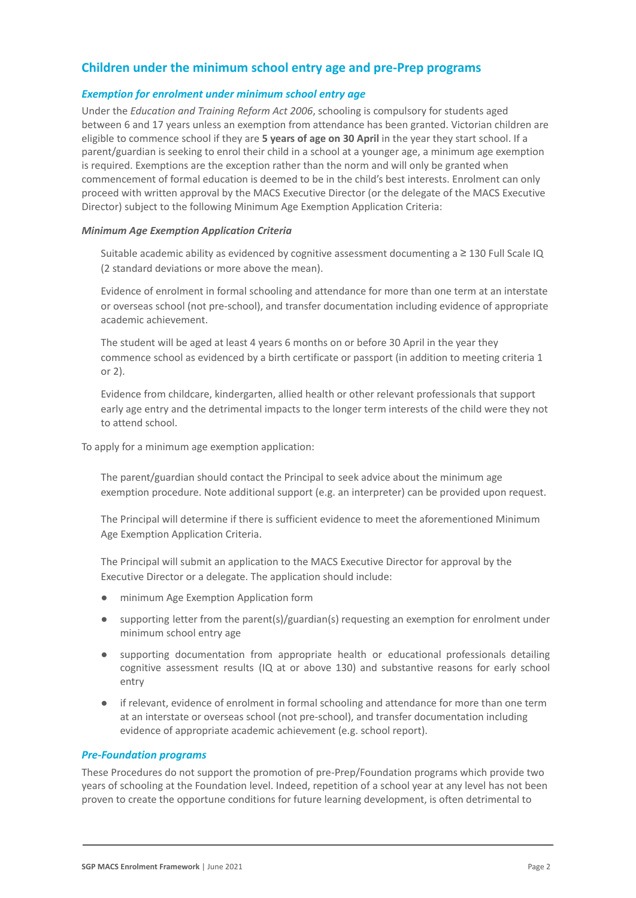### **Children under the minimum school entry age and pre-Prep programs**

#### *Exemption for enrolment under minimum school entry age*

Under the *Education and Training Reform Act 2006*, schooling is compulsory for students aged between 6 and 17 years unless an exemption from attendance has been granted. Victorian children are eligible to commence school if they are **5 years of age on 30 April** in the year they start school. If a parent/guardian is seeking to enrol their child in a school at a younger age, a minimum age exemption is required. Exemptions are the exception rather than the norm and will only be granted when commencement of formal education is deemed to be in the child's best interests. Enrolment can only proceed with written approval by the MACS Executive Director (or the delegate of the MACS Executive Director) subject to the following Minimum Age Exemption Application Criteria:

#### *Minimum Age Exemption Application Criteria*

Suitable academic ability as evidenced by cognitive assessment documenting a  $\geq$  130 Full Scale IQ (2 standard deviations or more above the mean).

Evidence of enrolment in formal schooling and attendance for more than one term at an interstate or overseas school (not pre-school), and transfer documentation including evidence of appropriate academic achievement.

The student will be aged at least 4 years 6 months on or before 30 April in the year they commence school as evidenced by a birth certificate or passport (in addition to meeting criteria 1 or 2).

4. Evidence from childcare, kindergarten, allied health or other relevant professionals that support early age entry and the detrimental impacts to the longer term interests of the child were they not to attend school.

To apply for a minimum age exemption application:

The parent/guardian should contact the Principal to seek advice about the minimum age exemption procedure. Note additional support (e.g. an interpreter) can be provided upon request.

2. The Principal will determine if there is sufficient evidence to meet the aforementioned Minimum Age Exemption Application Criteria.

The Principal will submit an application to the MACS Executive Director for approval by the Executive Director or a delegate. The application should include:

- minimum Age Exemption Application form
- supporting letter from the parent(s)/guardian(s) requesting an exemption for enrolment under minimum school entry age
- supporting documentation from appropriate health or educational professionals detailing cognitive assessment results (IQ at or above 130) and substantive reasons for early school entry
- if relevant, evidence of enrolment in formal schooling and attendance for more than one term at an interstate or overseas school (not pre-school), and transfer documentation including evidence of appropriate academic achievement (e.g. school report).

#### *Pre-Foundation programs*

These Procedures do not support the promotion of pre-Prep/Foundation programs which provide two years of schooling at the Foundation level. Indeed, repetition of a school year at any level has not been proven to create the opportune conditions for future learning development, is often detrimental to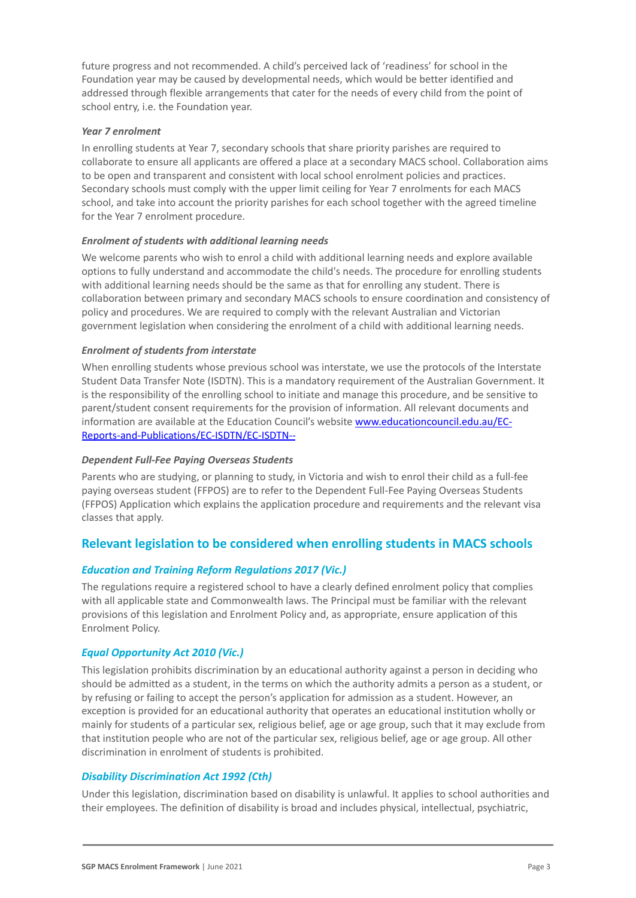future progress and not recommended. A child's perceived lack of 'readiness' for school in the Foundation year may be caused by developmental needs, which would be better identified and addressed through flexible arrangements that cater for the needs of every child from the point of school entry, i.e. the Foundation year.

#### *Year 7 enrolment*

In enrolling students at Year 7, secondary schools that share priority parishes are required to collaborate to ensure all applicants are offered a place at a secondary MACS school. Collaboration aims to be open and transparent and consistent with local school enrolment policies and practices. Secondary schools must comply with the upper limit ceiling for Year 7 enrolments for each MACS school, and take into account the priority parishes for each school together with the agreed timeline for the Year 7 enrolment procedure.

#### *Enrolment of students with additional learning needs*

We welcome parents who wish to enrol a child with additional learning needs and explore available options to fully understand and accommodate the child's needs. The procedure for enrolling students with additional learning needs should be the same as that for enrolling any student. There is collaboration between primary and secondary MACS schools to ensure coordination and consistency of policy and procedures. We are required to comply with the relevant Australian and Victorian government legislation when considering the enrolment of a child with additional learning needs.

#### *Enrolment of students from interstate*

When enrolling students whose previous school was interstate, we use the protocols of the Interstate Student Data Transfer Note (ISDTN). This is a mandatory requirement of the Australian Government. It is the responsibility of the enrolling school to initiate and manage this procedure, and be sensitive to parent/student consent requirements for the provision of information. All relevant documents and information are available at the Education Council's website [www.educationcouncil.edu.au/EC-](http://www.educationcouncil.edu.au/EC-Reports-and-Publications/EC-ISDTN/EC-ISDTN---Non-Gov-Schools.aspx)[Reports-and-Publications/EC-ISDTN/EC-ISDTN--](http://www.educationcouncil.edu.au/EC-Reports-and-Publications/EC-ISDTN/EC-ISDTN---Non-Gov-Schools.aspx)

#### *Dependent Full-Fee Paying Overseas Students*

Parents who are studying, or planning to study, in Victoria and wish to enrol their child as a full-fee paying overseas student (FFPOS) are to refer to the Dependent Full-Fee Paying Overseas Students (FFPOS) Application which explains the application procedure and requirements and the relevant visa classes that apply.

#### **Relevant legislation to be considered when enrolling students in MACS schools**

#### *Education and Training Reform Regulations 2017 (Vic.)*

The regulations require a registered school to have a clearly defined enrolment policy that complies with all applicable state and Commonwealth laws. The Principal must be familiar with the relevant provisions of this legislation and Enrolment Policy and, as appropriate, ensure application of this Enrolment Policy.

#### *Equal Opportunity Act 2010 (Vic.)*

This legislation prohibits discrimination by an educational authority against a person in deciding who should be admitted as a student, in the terms on which the authority admits a person as a student, or by refusing or failing to accept the person's application for admission as a student. However, an exception is provided for an educational authority that operates an educational institution wholly or mainly for students of a particular sex, religious belief, age or age group, such that it may exclude from that institution people who are not of the particular sex, religious belief, age or age group. All other discrimination in enrolment of students is prohibited.

#### *Disability Discrimination Act 1992 (Cth)*

Under this legislation, discrimination based on disability is unlawful. It applies to school authorities and their employees. The definition of disability is broad and includes physical, intellectual, psychiatric,